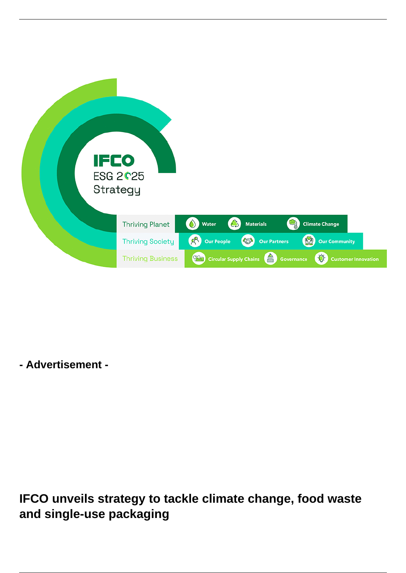

**- Advertisement -**

**IFCO unveils strategy to tackle climate change, food waste and single-use packaging**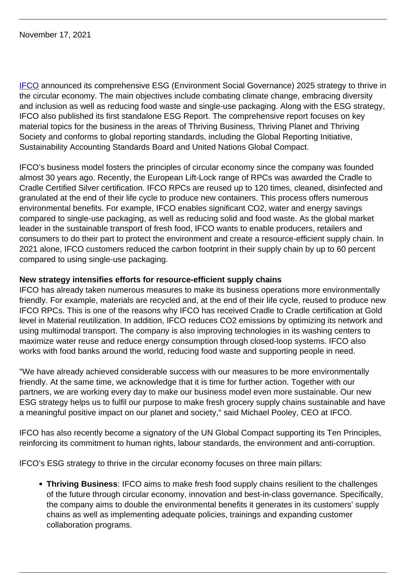November 17, 2021

**[IFCO](https://www.ifco.com/)** announced its comprehensive ESG (Environment Social Governance) 2025 strategy to thrive in the circular economy. The main objectives include combating climate change, embracing diversity and inclusion as well as reducing food waste and single-use packaging. Along with the ESG strategy, IFCO also published its first standalone ESG Report. The comprehensive report focuses on key material topics for the business in the areas of Thriving Business, Thriving Planet and Thriving Society and conforms to global reporting standards, including the Global Reporting Initiative, Sustainability Accounting Standards Board and United Nations Global Compact.

IFCO's business model fosters the principles of circular economy since the company was founded almost 30 years ago. Recently, the European Lift-Lock range of RPCs was awarded the Cradle to Cradle Certified Silver certification. IFCO RPCs are reused up to 120 times, cleaned, disinfected and granulated at the end of their life cycle to produce new containers. This process offers numerous environmental benefits. For example, IFCO enables significant CO2, water and energy savings compared to single-use packaging, as well as reducing solid and food waste. As the global market leader in the sustainable transport of fresh food, IFCO wants to enable producers, retailers and consumers to do their part to protect the environment and create a resource-efficient supply chain. In 2021 alone, IFCO customers reduced the carbon footprint in their supply chain by up to 60 percent compared to using single-use packaging.

## **New strategy intensifies efforts for resource-efficient supply chains**

IFCO has already taken numerous measures to make its business operations more environmentally friendly. For example, materials are recycled and, at the end of their life cycle, reused to produce new IFCO RPCs. This is one of the reasons why IFCO has received Cradle to Cradle certification at Gold level in Material reutilization. In addition, IFCO reduces CO2 emissions by optimizing its network and using multimodal transport. The company is also improving technologies in its washing centers to maximize water reuse and reduce energy consumption through closed-loop systems. IFCO also works with food banks around the world, reducing food waste and supporting people in need.

"We have already achieved considerable success with our measures to be more environmentally friendly. At the same time, we acknowledge that it is time for further action. Together with our partners, we are working every day to make our business model even more sustainable. Our new ESG strategy helps us to fulfil our purpose to make fresh grocery supply chains sustainable and have a meaningful positive impact on our planet and society," said Michael Pooley, CEO at IFCO.

IFCO has also recently become a signatory of the UN Global Compact supporting its Ten Principles, reinforcing its commitment to human rights, labour standards, the environment and anti-corruption.

IFCO's ESG strategy to thrive in the circular economy focuses on three main pillars:

**Thriving Business**: IFCO aims to make fresh food supply chains resilient to the challenges of the future through circular economy, innovation and best-in-class governance. Specifically, the company aims to double the environmental benefits it generates in its customers' supply chains as well as implementing adequate policies, trainings and expanding customer collaboration programs.